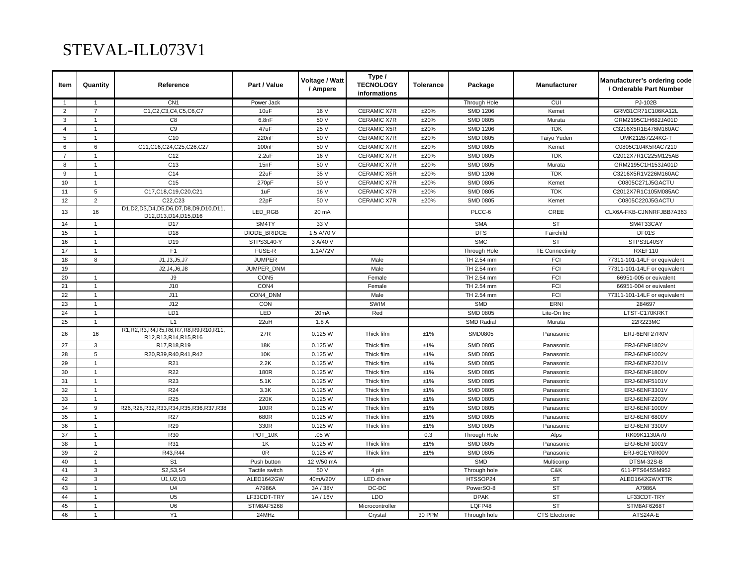## STEVAL-ILL073V1

| Item           | Quantity       | Reference                                                                | Part / Value       | Voltage / Watt<br>/ Ampere | Type /<br><b>TECNOLOGY</b><br>informations | <b>Tolerance</b> | Package           | <b>Manufacturer</b>    | Manufacturer's ordering code<br>/ Orderable Part Number |
|----------------|----------------|--------------------------------------------------------------------------|--------------------|----------------------------|--------------------------------------------|------------------|-------------------|------------------------|---------------------------------------------------------|
| $\mathbf{1}$   | $\overline{1}$ | CN <sub>1</sub>                                                          | Power Jack         |                            |                                            |                  | Through Hole      | CUI                    | PJ-102B                                                 |
| 2              | $\overline{7}$ | C1,C2,C3,C4,C5,C6,C7                                                     | 10uF               | 16 V                       | <b>CERAMIC X7R</b>                         | ±20%             | <b>SMD 1206</b>   | Kemet                  | GRM31CR71C106KA12L                                      |
| 3              | $\mathbf{1}$   | C <sub>8</sub>                                                           | 6.8nF              | 50 V                       | <b>CERAMIC X7R</b>                         | ±20%             | <b>SMD 0805</b>   | Murata                 | GRM2195C1H682JA01D                                      |
| $\overline{4}$ | $\mathbf{1}$   | C <sub>9</sub>                                                           | 47uF               | 25 V                       | <b>CERAMIC X5R</b>                         | ±20%             | <b>SMD 1206</b>   | <b>TDK</b>             | C3216X5R1E476M160AC                                     |
| 5              | $\mathbf{1}$   | C10                                                                      | 220nF              | 50 V                       | <b>CERAMIC X7R</b>                         | ±20%             | <b>SMD 0805</b>   | Taiyo Yuden            | UMK212B7224KG-T                                         |
| 6              | 6              | C11,C16,C24,C25,C26,C27                                                  | 100 <sub>n</sub> F | 50 V                       | <b>CERAMIC X7R</b>                         | ±20%             | <b>SMD 0805</b>   | Kemet                  | C0805C104K5RAC7210                                      |
| $\overline{7}$ | $\mathbf{1}$   | C <sub>12</sub>                                                          | 2.2uF              | 16 V                       | <b>CERAMIC X7R</b>                         | ±20%             | <b>SMD 0805</b>   | <b>TDK</b>             | C2012X7R1C225M125AB                                     |
| 8              | $\mathbf{1}$   | C <sub>13</sub>                                                          | 15nF               | 50 V                       | <b>CERAMIC X7R</b>                         | ±20%             | <b>SMD 0805</b>   | Murata                 | GRM2195C1H153JA01D                                      |
| 9              | $\mathbf{1}$   | C <sub>14</sub>                                                          | 22uF               | 35 V                       | <b>CERAMIC X5R</b>                         | ±20%             | <b>SMD 1206</b>   | <b>TDK</b>             | C3216X5R1V226M160AC                                     |
| 10             | $\mathbf{1}$   | C <sub>15</sub>                                                          | 270pF              | 50 V                       | <b>CERAMIC X7R</b>                         | ±20%             | <b>SMD 0805</b>   | Kemet                  | C0805C271J5GACTU                                        |
| 11             | 5              | C17,C18,C19,C20,C21                                                      | 1uF                | 16 V                       | <b>CERAMIC X7R</b>                         | ±20%             | <b>SMD 0805</b>   | <b>TDK</b>             | C2012X7R1C105M085AC                                     |
| 12             | $\overline{2}$ | C22, C23                                                                 | 22pF               | 50 V                       | CERAMIC X7R                                | ±20%             | <b>SMD 0805</b>   | Kemet                  | C0805C220J5GACTU                                        |
| 13             | 16             | D1, D2, D3, D4, D5, D6, D7, D8, D9, D10, D11,<br>D12, D13, D14, D15, D16 | LED_RGB            | 20 mA                      |                                            |                  | PLCC-6            | CREE                   | CLX6A-FKB-CJNNRFJBB7A363                                |
| 14             | $\mathbf{1}$   | D <sub>17</sub>                                                          | SM4TY              | 33 V                       |                                            |                  | <b>SMA</b>        | <b>ST</b>              | SM4T33CAY                                               |
| 15             | $\mathbf{1}$   | D <sub>18</sub>                                                          | DIODE BRIDGE       | 1.5 A/70 V                 |                                            |                  | <b>DFS</b>        | Fairchild              | DF01S                                                   |
| 16             | $\mathbf{1}$   | D <sub>19</sub>                                                          | STPS3L40-Y         | 3 A/40 V                   |                                            |                  | <b>SMC</b>        | <b>ST</b>              | STPS3L40SY                                              |
| 17             | $\mathbf{1}$   | F <sub>1</sub>                                                           | <b>FUSE-R</b>      | 1.1A/72V                   |                                            |                  | Through Hole      | <b>TE Connectivity</b> | RXEF110                                                 |
| 18             | 8              | J1.J3.J5.J7                                                              | <b>JUMPER</b>      |                            | Male                                       |                  | TH 2.54 mm        | FCI                    | 77311-101-14LF or equivalent                            |
| 19             |                | J2, J4, J6, J8                                                           | JUMPER_DNM         |                            | Male                                       |                  | TH 2.54 mm        | FCI                    | 77311-101-14LF or equivalent                            |
| 20             | $\mathbf{1}$   | $\mathsf{J}9$                                                            | CON <sub>5</sub>   |                            | Female                                     |                  | TH 2.54 mm        | <b>FCI</b>             | 66951-005 or euivalent                                  |
| 21             | $\mathbf{1}$   | J10                                                                      | CON <sub>4</sub>   |                            | Female                                     |                  | TH 2.54 mm        | FCI                    | 66951-004 or euivalent                                  |
| 22             | $\mathbf{1}$   | J11                                                                      | CON4 DNM           |                            | Male                                       |                  | TH 2.54 mm        | <b>FCI</b>             | 77311-101-14LF or equivalent                            |
| 23             | $\mathbf{1}$   | J12                                                                      | CON                |                            | SWIM                                       |                  | <b>SMD</b>        | ERNI                   | 284697                                                  |
| 24             | $\mathbf{1}$   | LD1                                                                      | LED                | 20 <sub>m</sub> A          | Red                                        |                  | <b>SMD 0805</b>   | Lite-On Inc            | LTST-C170KRKT                                           |
| 25             | $\mathbf{1}$   | L1                                                                       | 22uH               | 1.8A                       |                                            |                  | <b>SMD Radial</b> | Murata                 | 22R223MC                                                |
| 26             | 16             | R1, R2, R3, R4, R5, R6, R7, R8, R9, R10, R11,<br>R12.R13.R14.R15.R16     | 27R                | 0.125 W                    | Thick film                                 | ±1%              | <b>SMD0805</b>    | Panasonic              | ERJ-6ENF27R0V                                           |
| 27             | 3              | R17, R18, R19                                                            | 18K                | 0.125 W                    | Thick film                                 | ±1%              | <b>SMD 0805</b>   | Panasonic              | ERJ-6ENF1802V                                           |
| 28             | 5              | R20, R39, R40, R41, R42                                                  | 10K                | 0.125 W                    | Thick film                                 | ±1%              | <b>SMD 0805</b>   | Panasonic              | ERJ-6ENF1002V                                           |
| 29             | $\mathbf{1}$   | R <sub>21</sub>                                                          | 2.2K               | 0.125 W                    | Thick film                                 | ±1%              | <b>SMD 0805</b>   | Panasonic              | ERJ-6ENF2201V                                           |
| 30             | $\mathbf{1}$   | R22                                                                      | 180R               | 0.125 W                    | Thick film                                 | ±1%              | <b>SMD 0805</b>   | Panasonic              | ERJ-6ENF1800V                                           |
| 31             | $\mathbf{1}$   | <b>R23</b>                                                               | 5.1K               | 0.125 W                    | Thick film                                 | ±1%              | <b>SMD 0805</b>   | Panasonic              | ERJ-6ENF5101V                                           |
| 32             | $\mathbf{1}$   | R <sub>24</sub>                                                          | 3.3K               | 0.125 W                    | Thick film                                 | ±1%              | <b>SMD 0805</b>   | Panasonic              | ERJ-6ENF3301V                                           |
| 33             | $\mathbf{1}$   | <b>R25</b>                                                               | 220K               | 0.125 W                    | Thick film                                 | ±1%              | <b>SMD 0805</b>   | Panasonic              | ERJ-6ENF2203V                                           |
| 34             | 9              | R26, R28, R32, R33, R34, R35, R36, R37, R38                              | 100R               | 0.125 W                    | Thick film                                 | ±1%              | <b>SMD 0805</b>   | Panasonic              | ERJ-6ENF1000V                                           |
| 35             | $\mathbf{1}$   | R27                                                                      | 680R               | 0.125 W                    | Thick film                                 | ±1%              | <b>SMD 0805</b>   | Panasonic              | ERJ-6ENF6800V                                           |
| 36             | $\mathbf{1}$   | R29                                                                      | 330R               | 0.125 W                    | Thick film                                 | ±1%              | <b>SMD 0805</b>   | Panasonic              | ERJ-6ENF3300V                                           |
| 37             | $\mathbf{1}$   | R30                                                                      | POT_10K            | .05 W                      |                                            | 0.3              | Through Hole      | Alps                   | RK09K1130A70                                            |
| 38             | $\mathbf{1}$   | R31                                                                      | 1K                 | 0.125 W                    | Thick film                                 | ±1%              | <b>SMD 0805</b>   | Panasonic              | ERJ-6ENF1001V                                           |
| 39             | $\overline{c}$ | R43, R44                                                                 | 0R                 | 0.125 W                    | Thick film                                 | ±1%              | SMD 0805          | Panasonic              | ERJ-6GEY0R00V                                           |
| 40             | $\mathbf{1}$   | S <sub>1</sub>                                                           | Push button        | 12 V/50 mA                 |                                            |                  | <b>SMD</b>        | Multicomp              | DTSM-32S-B                                              |
| 41             | 3              | S2, S3, S4                                                               | Tactile switch     | 50 V                       | 4 pin                                      |                  | Through hole      | C&K                    | 611-PTS645SM952                                         |
| 42             | 3              | U1, U2, U3                                                               | ALED1642GW         | 40mA/20V                   | <b>LED</b> driver                          |                  | HTSSOP24          | <b>ST</b>              | ALED1642GWXTTR                                          |
| 43             | $\mathbf{1}$   | U <sub>4</sub>                                                           | A7986A             | 3A / 38V                   | DC-DC                                      |                  | PowerSO-8         | <b>ST</b>              | A7986A                                                  |
| 44             | $\mathbf{1}$   | U <sub>5</sub>                                                           | LF33CDT-TRY        | 1A/16V                     | LDO                                        |                  | <b>DPAK</b>       | <b>ST</b>              | LF33CDT-TRY                                             |
| 45             | $\mathbf{1}$   | U <sub>6</sub>                                                           | <b>STM8AF5268</b>  |                            | Microcontroller                            |                  | LOFP48            | <b>ST</b>              | STM8AF6268T                                             |
| 46             | $\mathbf{1}$   | Y1                                                                       | 24MHz              |                            | Crystal                                    | 30 PPM           | Through hole      | <b>CTS Electronic</b>  | ATS24A-E                                                |